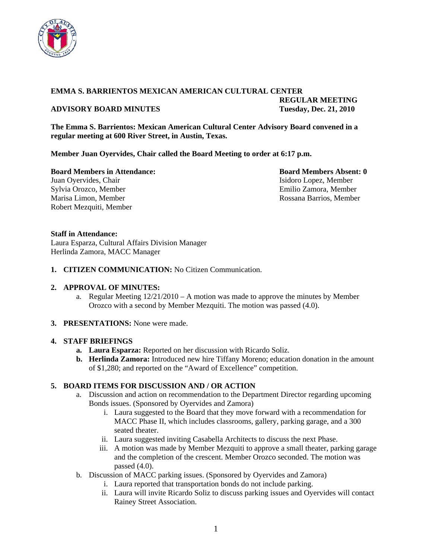

### **EMMA S. BARRIENTOS MEXICAN AMERICAN CULTURAL CENTER**

### **ADVISORY BOARD MINUTES Tuesday, Dec. 21, 2010**

 **REGULAR MEETING** 

**The Emma S. Barrientos: Mexican American Cultural Center Advisory Board convened in a regular meeting at 600 River Street, in Austin, Texas.** 

**Member Juan Oyervides, Chair called the Board Meeting to order at 6:17 p.m.** 

**Board Members in Attendance: Board Members Absent: 0 Board Members Absent: 0** Juan Oyervides, Chair **Isidoro Lopez, Member** Isidoro Lopez, Member Sylvia Orozco, Member Emilio Zamora, Member Marisa Limon, Member **Rossana Barrios**, Member Rossana Barrios, Member Robert Mezquiti, Member

# **Staff in Attendance:**

Laura Esparza, Cultural Affairs Division Manager Herlinda Zamora, MACC Manager

**1. CITIZEN COMMUNICATION:** No Citizen Communication.

### **2. APPROVAL OF MINUTES:**

- a. Regular Meeting 12/21/2010 A motion was made to approve the minutes by Member Orozco with a second by Member Mezquiti. The motion was passed (4.0).
- **3. PRESENTATIONS:** None were made.

### **4. STAFF BRIEFINGS**

- **a. Laura Esparza:** Reported on her discussion with Ricardo Soliz.
- **b. Herlinda Zamora:** Introduced new hire Tiffany Moreno; education donation in the amount of \$1,280; and reported on the "Award of Excellence" competition.

# **5. BOARD ITEMS FOR DISCUSSION AND / OR ACTION**

- a. Discussion and action on recommendation to the Department Director regarding upcoming Bonds issues. (Sponsored by Oyervides and Zamora)
	- i. Laura suggested to the Board that they move forward with a recommendation for MACC Phase II, which includes classrooms, gallery, parking garage, and a 300 seated theater.
	- ii. Laura suggested inviting Casabella Architects to discuss the next Phase.
	- iii. A motion was made by Member Mezquiti to approve a small theater, parking garage and the completion of the crescent. Member Orozco seconded. The motion was passed (4.0).
- b. Discussion of MACC parking issues. (Sponsored by Oyervides and Zamora)
	- i. Laura reported that transportation bonds do not include parking.
	- ii. Laura will invite Ricardo Soliz to discuss parking issues and Oyervides will contact Rainey Street Association.